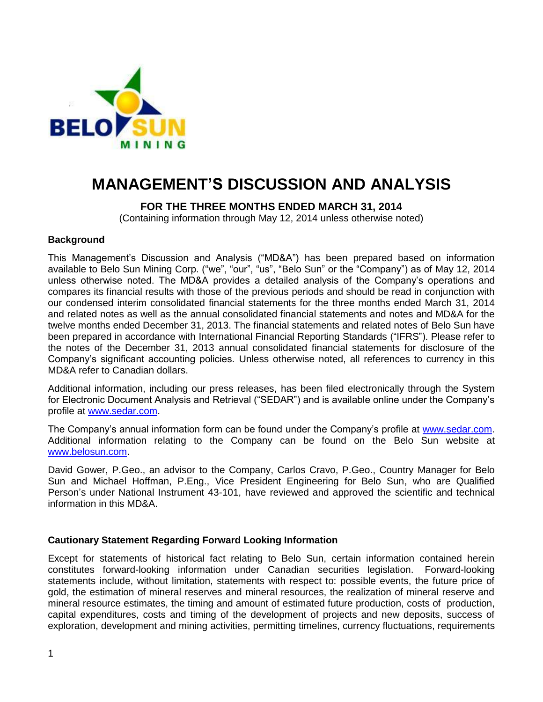

# **MANAGEMENT'S DISCUSSION AND ANALYSIS**

# **FOR THE THREE MONTHS ENDED MARCH 31, 2014**

(Containing information through May 12, 2014 unless otherwise noted)

## **Background**

This Management"s Discussion and Analysis ("MD&A") has been prepared based on information available to Belo Sun Mining Corp. ("we", "our", "us", "Belo Sun" or the "Company") as of May 12, 2014 unless otherwise noted. The MD&A provides a detailed analysis of the Company"s operations and compares its financial results with those of the previous periods and should be read in conjunction with our condensed interim consolidated financial statements for the three months ended March 31, 2014 and related notes as well as the annual consolidated financial statements and notes and MD&A for the twelve months ended December 31, 2013. The financial statements and related notes of Belo Sun have been prepared in accordance with International Financial Reporting Standards ("IFRS"). Please refer to the notes of the December 31, 2013 annual consolidated financial statements for disclosure of the Company"s significant accounting policies. Unless otherwise noted, all references to currency in this MD&A refer to Canadian dollars.

Additional information, including our press releases, has been filed electronically through the System for Electronic Document Analysis and Retrieval ("SEDAR") and is available online under the Company"s profile at [www.sedar.com.](http://www.sedar.com/)

The Company"s annual information form can be found under the Company"s profile at [www.sedar.com.](http://www.sedar.com/) Additional information relating to the Company can be found on the Belo Sun website at [www.belosun.com.](http://www.belosun.com/)

David Gower, P.Geo., an advisor to the Company, Carlos Cravo, P.Geo., Country Manager for Belo Sun and Michael Hoffman, P.Eng., Vice President Engineering for Belo Sun, who are Qualified Person's under National Instrument 43-101, have reviewed and approved the scientific and technical information in this MD&A.

# **Cautionary Statement Regarding Forward Looking Information**

Except for statements of historical fact relating to Belo Sun, certain information contained herein constitutes forward-looking information under Canadian securities legislation. Forward-looking statements include, without limitation, statements with respect to: possible events, the future price of gold, the estimation of mineral reserves and mineral resources, the realization of mineral reserve and mineral resource estimates, the timing and amount of estimated future production, costs of production, capital expenditures, costs and timing of the development of projects and new deposits, success of exploration, development and mining activities, permitting timelines, currency fluctuations, requirements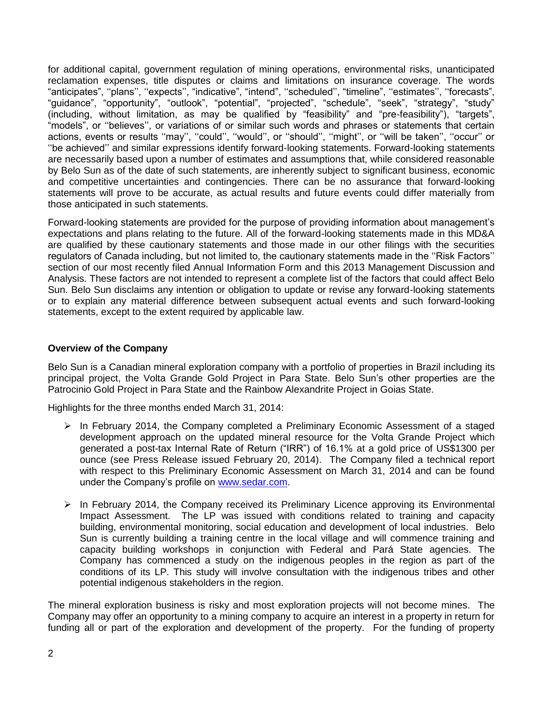for additional capital, government regulation of mining operations, environmental risks, unanticipated reclamation expenses, title disputes or claims and limitations on insurance coverage. The words "anticipates", "plans", "expects", "indicative", "intend", "scheduled", "timeline", "estimates", "forecasts", "guidance", "opportunity", "outlook", "potential", "projected", "schedule", "seek", "strategy", "study" (including, without limitation, as may be qualified by "feasibility" and "pre-feasibility"), "targets", "models", or "believes", or variations of or similar such words and phrases or statements that certain actions, events or results "may", "could", "would", or "should", "might", or "will be taken", "occur" or ""be achieved"" and similar expressions identify forward-looking statements. Forward-looking statements are necessarily based upon a number of estimates and assumptions that, while considered reasonable by Belo Sun as of the date of such statements, are inherently subject to significant business, economic and competitive uncertainties and contingencies. There can be no assurance that forward-looking statements will prove to be accurate, as actual results and future events could differ materially from those anticipated in such statements.

Forward-looking statements are provided for the purpose of providing information about management"s expectations and plans relating to the future. All of the forward-looking statements made in this MD&A are qualified by these cautionary statements and those made in our other filings with the securities regulators of Canada including, but not limited to, the cautionary statements made in the ""Risk Factors"" section of our most recently filed Annual Information Form and this 2013 Management Discussion and Analysis. These factors are not intended to represent a complete list of the factors that could affect Belo Sun. Belo Sun disclaims any intention or obligation to update or revise any forward-looking statements or to explain any material difference between subsequent actual events and such forward-looking statements, except to the extent required by applicable law.

## **Overview of the Company**

Belo Sun is a Canadian mineral exploration company with a portfolio of properties in Brazil including its principal project, the Volta Grande Gold Project in Para State. Belo Sun"s other properties are the Patrocinio Gold Project in Para State and the Rainbow Alexandrite Project in Goias State.

Highlights for the three months ended March 31, 2014:

- $\triangleright$  In February 2014, the Company completed a Preliminary Economic Assessment of a staged development approach on the updated mineral resource for the Volta Grande Project which generated a post-tax Internal Rate of Return ("IRR") of 16.1% at a gold price of US\$1300 per ounce (see Press Release issued February 20, 2014). The Company filed a technical report with respect to this Preliminary Economic Assessment on March 31, 2014 and can be found under the Company"s profile on [www.sedar.com.](http://www.sedar.com/)
- $\triangleright$  In February 2014, the Company received its Preliminary Licence approving its Environmental Impact Assessment. The LP was issued with conditions related to training and capacity building, environmental monitoring, social education and development of local industries. Belo Sun is currently building a training centre in the local village and will commence training and capacity building workshops in conjunction with Federal and Pará State agencies. The Company has commenced a study on the indigenous peoples in the region as part of the conditions of its LP. This study will involve consultation with the indigenous tribes and other potential indigenous stakeholders in the region.

The mineral exploration business is risky and most exploration projects will not become mines. The Company may offer an opportunity to a mining company to acquire an interest in a property in return for funding all or part of the exploration and development of the property. For the funding of property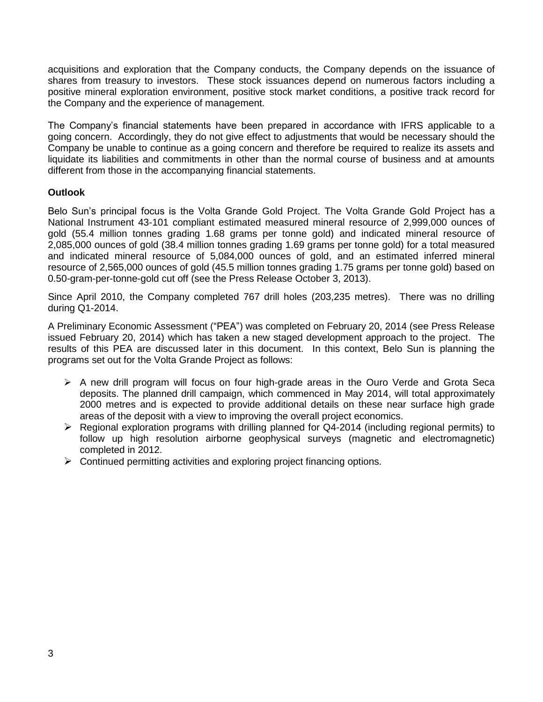acquisitions and exploration that the Company conducts, the Company depends on the issuance of shares from treasury to investors. These stock issuances depend on numerous factors including a positive mineral exploration environment, positive stock market conditions, a positive track record for the Company and the experience of management.

The Company"s financial statements have been prepared in accordance with IFRS applicable to a going concern. Accordingly, they do not give effect to adjustments that would be necessary should the Company be unable to continue as a going concern and therefore be required to realize its assets and liquidate its liabilities and commitments in other than the normal course of business and at amounts different from those in the accompanying financial statements.

# **Outlook**

Belo Sun"s principal focus is the Volta Grande Gold Project. The Volta Grande Gold Project has a National Instrument 43-101 compliant estimated measured mineral resource of 2,999,000 ounces of gold (55.4 million tonnes grading 1.68 grams per tonne gold) and indicated mineral resource of 2,085,000 ounces of gold (38.4 million tonnes grading 1.69 grams per tonne gold) for a total measured and indicated mineral resource of 5,084,000 ounces of gold, and an estimated inferred mineral resource of 2,565,000 ounces of gold (45.5 million tonnes grading 1.75 grams per tonne gold) based on 0.50-gram-per-tonne-gold cut off (see the Press Release October 3, 2013).

Since April 2010, the Company completed 767 drill holes (203,235 metres). There was no drilling during Q1-2014.

A Preliminary Economic Assessment ("PEA") was completed on February 20, 2014 (see Press Release issued February 20, 2014) which has taken a new staged development approach to the project. The results of this PEA are discussed later in this document. In this context, Belo Sun is planning the programs set out for the Volta Grande Project as follows:

- $\triangleright$  A new drill program will focus on four high-grade areas in the Ouro Verde and Grota Seca deposits. The planned drill campaign, which commenced in May 2014, will total approximately 2000 metres and is expected to provide additional details on these near surface high grade areas of the deposit with a view to improving the overall project economics.
- Regional exploration programs with drilling planned for Q4-2014 (including regional permits) to follow up high resolution airborne geophysical surveys (magnetic and electromagnetic) completed in 2012.
- $\triangleright$  Continued permitting activities and exploring project financing options.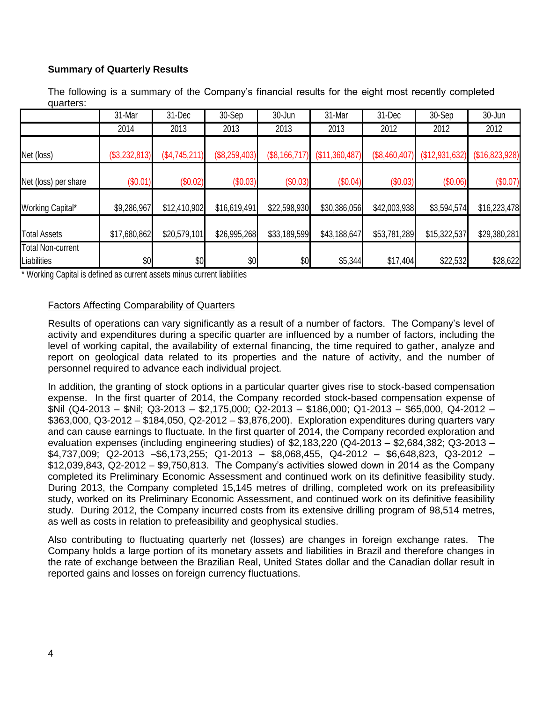# **Summary of Quarterly Results**

The following is a summary of the Company's financial results for the eight most recently completed quarters:

|                                         | 31-Mar        | 31-Dec        | 30-Sep        | 30-Jun        | 31-Mar         | 31-Dec        | 30-Sep         | 30-Jun         |
|-----------------------------------------|---------------|---------------|---------------|---------------|----------------|---------------|----------------|----------------|
|                                         | 2014          | 2013          | 2013          | 2013          | 2013           | 2012          | 2012           | 2012           |
| Net (loss)                              | (\$3,232,813) | (\$4,745,211) | (\$8,259,403) | (\$8,166,717) | (\$11,360,487) | (\$8,460,407) | (\$12,931,632) | (\$16,823,928) |
| Net (loss) per share                    | (S0.01)       | (\$0.02)      | (\$0.03)      | (\$0.03)      | (\$0.04)       | (\$0.03)      | (\$0.06)       | $(\$0.07)$     |
| Working Capital*                        | \$9,286,967   | \$12,410,902  | \$16,619,491  | \$22,598,930  | \$30,386,056   | \$42,003,938  | \$3,594,574    | \$16,223,478   |
| <b>Total Assets</b>                     | \$17,680,862  | \$20,579,101  | \$26,995,268  | \$33,189,599  | \$43,188,647   | \$53,781,289  | \$15,322,537   | \$29,380,281   |
| <b>Total Non-current</b><br>Liabilities | \$0           | \$0           | \$0           | \$0           | \$5,344        | \$17,404      | \$22,532       | \$28,622       |

\* Working Capital is defined as current assets minus current liabilities

## Factors Affecting Comparability of Quarters

Results of operations can vary significantly as a result of a number of factors. The Company"s level of activity and expenditures during a specific quarter are influenced by a number of factors, including the level of working capital, the availability of external financing, the time required to gather, analyze and report on geological data related to its properties and the nature of activity, and the number of personnel required to advance each individual project.

In addition, the granting of stock options in a particular quarter gives rise to stock-based compensation expense. In the first quarter of 2014, the Company recorded stock-based compensation expense of \$Nil (Q4-2013 – \$Nil; Q3-2013 – \$2,175,000; Q2-2013 – \$186,000; Q1-2013 – \$65,000, Q4-2012 – \$363,000, Q3-2012 – \$184,050, Q2-2012 – \$3,876,200). Exploration expenditures during quarters vary and can cause earnings to fluctuate. In the first quarter of 2014, the Company recorded exploration and evaluation expenses (including engineering studies) of \$2,183,220 (Q4-2013 – \$2,684,382; Q3-2013 – \$4,737,009; Q2-2013 –\$6,173,255; Q1-2013 – \$8,068,455, Q4-2012 – \$6,648,823, Q3-2012 – \$12,039,843, Q2-2012 – \$9,750,813. The Company"s activities slowed down in 2014 as the Company completed its Preliminary Economic Assessment and continued work on its definitive feasibility study. During 2013, the Company completed 15,145 metres of drilling, completed work on its prefeasibility study, worked on its Preliminary Economic Assessment, and continued work on its definitive feasibility study. During 2012, the Company incurred costs from its extensive drilling program of 98,514 metres, as well as costs in relation to prefeasibility and geophysical studies.

Also contributing to fluctuating quarterly net (losses) are changes in foreign exchange rates. The Company holds a large portion of its monetary assets and liabilities in Brazil and therefore changes in the rate of exchange between the Brazilian Real, United States dollar and the Canadian dollar result in reported gains and losses on foreign currency fluctuations.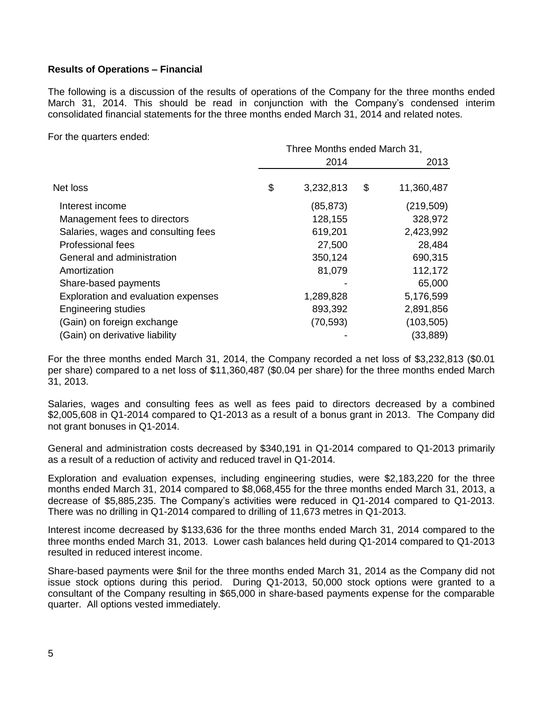# **Results of Operations – Financial**

The following is a discussion of the results of operations of the Company for the three months ended March 31, 2014. This should be read in conjunction with the Company"s condensed interim consolidated financial statements for the three months ended March 31, 2014 and related notes.

For the quarters ended:

|                                     | Three Months ended March 31, |           |    |            |
|-------------------------------------|------------------------------|-----------|----|------------|
|                                     |                              | 2014      |    | 2013       |
| Net loss                            | \$                           | 3,232,813 | \$ | 11,360,487 |
| Interest income                     |                              | (85, 873) |    | (219, 509) |
| Management fees to directors        |                              | 128,155   |    | 328,972    |
| Salaries, wages and consulting fees |                              | 619,201   |    | 2,423,992  |
| Professional fees                   |                              | 27,500    |    | 28,484     |
| General and administration          |                              | 350,124   |    | 690,315    |
| Amortization                        |                              | 81,079    |    | 112,172    |
| Share-based payments                |                              |           |    | 65,000     |
| Exploration and evaluation expenses |                              | 1,289,828 |    | 5,176,599  |
| <b>Engineering studies</b>          |                              | 893,392   |    | 2,891,856  |
| (Gain) on foreign exchange          |                              | (70, 593) |    | (103, 505) |
| (Gain) on derivative liability      |                              |           |    | (33,889)   |

For the three months ended March 31, 2014, the Company recorded a net loss of \$3,232,813 (\$0.01 per share) compared to a net loss of \$11,360,487 (\$0.04 per share) for the three months ended March 31, 2013.

Salaries, wages and consulting fees as well as fees paid to directors decreased by a combined \$2,005,608 in Q1-2014 compared to Q1-2013 as a result of a bonus grant in 2013. The Company did not grant bonuses in Q1-2014.

General and administration costs decreased by \$340,191 in Q1-2014 compared to Q1-2013 primarily as a result of a reduction of activity and reduced travel in Q1-2014.

Exploration and evaluation expenses, including engineering studies, were \$2,183,220 for the three months ended March 31, 2014 compared to \$8,068,455 for the three months ended March 31, 2013, a decrease of \$5,885,235. The Company"s activities were reduced in Q1-2014 compared to Q1-2013. There was no drilling in Q1-2014 compared to drilling of 11,673 metres in Q1-2013.

Interest income decreased by \$133,636 for the three months ended March 31, 2014 compared to the three months ended March 31, 2013. Lower cash balances held during Q1-2014 compared to Q1-2013 resulted in reduced interest income.

Share-based payments were \$nil for the three months ended March 31, 2014 as the Company did not issue stock options during this period. During Q1-2013, 50,000 stock options were granted to a consultant of the Company resulting in \$65,000 in share-based payments expense for the comparable quarter. All options vested immediately.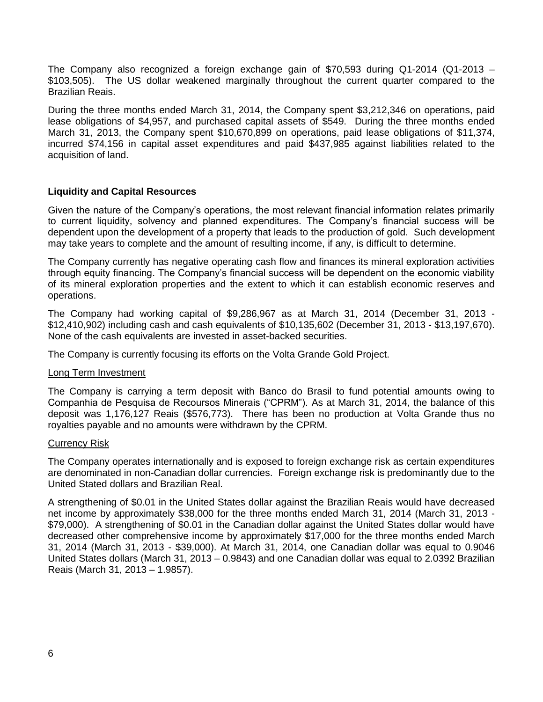The Company also recognized a foreign exchange gain of \$70,593 during Q1-2014 (Q1-2013 – \$103,505). The US dollar weakened marginally throughout the current quarter compared to the Brazilian Reais.

During the three months ended March 31, 2014, the Company spent \$3,212,346 on operations, paid lease obligations of \$4,957, and purchased capital assets of \$549. During the three months ended March 31, 2013, the Company spent \$10,670,899 on operations, paid lease obligations of \$11,374, incurred \$74,156 in capital asset expenditures and paid \$437,985 against liabilities related to the acquisition of land.

## **Liquidity and Capital Resources**

Given the nature of the Company"s operations, the most relevant financial information relates primarily to current liquidity, solvency and planned expenditures. The Company"s financial success will be dependent upon the development of a property that leads to the production of gold. Such development may take years to complete and the amount of resulting income, if any, is difficult to determine.

The Company currently has negative operating cash flow and finances its mineral exploration activities through equity financing. The Company"s financial success will be dependent on the economic viability of its mineral exploration properties and the extent to which it can establish economic reserves and operations.

The Company had working capital of \$9,286,967 as at March 31, 2014 (December 31, 2013 - \$12,410,902) including cash and cash equivalents of \$10,135,602 (December 31, 2013 - \$13,197,670). None of the cash equivalents are invested in asset-backed securities.

The Company is currently focusing its efforts on the Volta Grande Gold Project.

## Long Term Investment

The Company is carrying a term deposit with Banco do Brasil to fund potential amounts owing to Companhia de Pesquisa de Recoursos Minerais ("CPRM"). As at March 31, 2014, the balance of this deposit was 1,176,127 Reais (\$576,773). There has been no production at Volta Grande thus no royalties payable and no amounts were withdrawn by the CPRM.

## Currency Risk

The Company operates internationally and is exposed to foreign exchange risk as certain expenditures are denominated in non-Canadian dollar currencies. Foreign exchange risk is predominantly due to the United Stated dollars and Brazilian Real.

A strengthening of \$0.01 in the United States dollar against the Brazilian Reais would have decreased net income by approximately \$38,000 for the three months ended March 31, 2014 (March 31, 2013 - \$79,000). A strengthening of \$0.01 in the Canadian dollar against the United States dollar would have decreased other comprehensive income by approximately \$17,000 for the three months ended March 31, 2014 (March 31, 2013 - \$39,000). At March 31, 2014, one Canadian dollar was equal to 0.9046 United States dollars (March 31, 2013 – 0.9843) and one Canadian dollar was equal to 2.0392 Brazilian Reais (March 31, 2013 – 1.9857).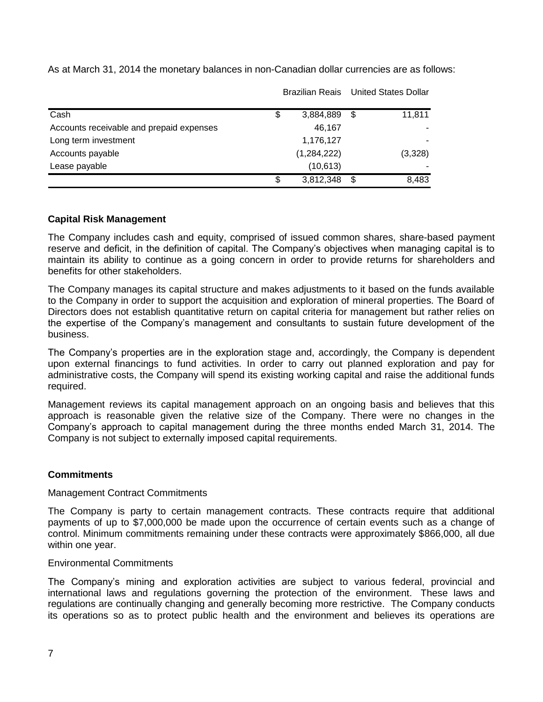|                                          |                 |      | Brazilian Reais United States Dollar |
|------------------------------------------|-----------------|------|--------------------------------------|
| Cash                                     | \$<br>3,884,889 | - \$ | 11,811                               |
| Accounts receivable and prepaid expenses | 46,167          |      |                                      |
| Long term investment                     | 1,176,127       |      |                                      |
| Accounts payable                         | (1,284,222)     |      | (3,328)                              |
| Lease payable                            | (10, 613)       |      |                                      |
|                                          | \$<br>3,812,348 | \$.  | 8,483                                |

As at March 31, 2014 the monetary balances in non-Canadian dollar currencies are as follows:

# **Capital Risk Management**

The Company includes cash and equity, comprised of issued common shares, share-based payment reserve and deficit, in the definition of capital. The Company"s objectives when managing capital is to maintain its ability to continue as a going concern in order to provide returns for shareholders and benefits for other stakeholders.

The Company manages its capital structure and makes adjustments to it based on the funds available to the Company in order to support the acquisition and exploration of mineral properties. The Board of Directors does not establish quantitative return on capital criteria for management but rather relies on the expertise of the Company"s management and consultants to sustain future development of the business.

The Company"s properties are in the exploration stage and, accordingly, the Company is dependent upon external financings to fund activities. In order to carry out planned exploration and pay for administrative costs, the Company will spend its existing working capital and raise the additional funds required.

Management reviews its capital management approach on an ongoing basis and believes that this approach is reasonable given the relative size of the Company. There were no changes in the Company"s approach to capital management during the three months ended March 31, 2014. The Company is not subject to externally imposed capital requirements.

# **Commitments**

## Management Contract Commitments

The Company is party to certain management contracts. These contracts require that additional payments of up to \$7,000,000 be made upon the occurrence of certain events such as a change of control. Minimum commitments remaining under these contracts were approximately \$866,000, all due within one year.

## Environmental Commitments

The Company"s mining and exploration activities are subject to various federal, provincial and international laws and regulations governing the protection of the environment. These laws and regulations are continually changing and generally becoming more restrictive. The Company conducts its operations so as to protect public health and the environment and believes its operations are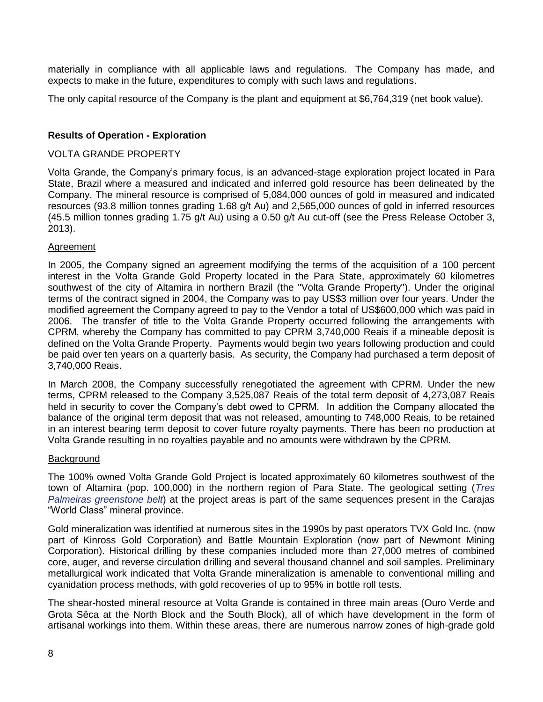materially in compliance with all applicable laws and regulations. The Company has made, and expects to make in the future, expenditures to comply with such laws and regulations.

The only capital resource of the Company is the plant and equipment at \$6,764,319 (net book value).

# **Results of Operation - Exploration**

#### VOLTA GRANDE PROPERTY

Volta Grande, the Company"s primary focus, is an advanced-stage exploration project located in Para State, Brazil where a measured and indicated and inferred gold resource has been delineated by the Company. The mineral resource is comprised of 5,084,000 ounces of gold in measured and indicated resources (93.8 million tonnes grading 1.68 g/t Au) and 2,565,000 ounces of gold in inferred resources (45.5 million tonnes grading 1.75 g/t Au) using a 0.50 g/t Au cut-off (see the Press Release October 3, 2013).

## Agreement

In 2005, the Company signed an agreement modifying the terms of the acquisition of a 100 percent interest in the Volta Grande Gold Property located in the Para State, approximately 60 kilometres southwest of the city of Altamira in northern Brazil (the "Volta Grande Property"). Under the original terms of the contract signed in 2004, the Company was to pay US\$3 million over four years. Under the modified agreement the Company agreed to pay to the Vendor a total of US\$600,000 which was paid in 2006. The transfer of title to the Volta Grande Property occurred following the arrangements with CPRM, whereby the Company has committed to pay CPRM 3,740,000 Reais if a mineable deposit is defined on the Volta Grande Property. Payments would begin two years following production and could be paid over ten years on a quarterly basis. As security, the Company had purchased a term deposit of 3,740,000 Reais.

In March 2008, the Company successfully renegotiated the agreement with CPRM. Under the new terms, CPRM released to the Company 3,525,087 Reais of the total term deposit of 4,273,087 Reais held in security to cover the Company's debt owed to CPRM. In addition the Company allocated the balance of the original term deposit that was not released, amounting to 748,000 Reais, to be retained in an interest bearing term deposit to cover future royalty payments. There has been no production at Volta Grande resulting in no royalties payable and no amounts were withdrawn by the CPRM.

## **Background**

The 100% owned Volta Grande Gold Project is located approximately 60 kilometres southwest of the town of Altamira (pop. 100,000) in the northern region of Para State. The geological setting (*Tres Palmeiras greenstone belt*) at the project areas is part of the same sequences present in the Carajas "World Class" mineral province.

Gold mineralization was identified at numerous sites in the 1990s by past operators TVX Gold Inc. (now part of Kinross Gold Corporation) and Battle Mountain Exploration (now part of Newmont Mining Corporation). Historical drilling by these companies included more than 27,000 metres of combined core, auger, and reverse circulation drilling and several thousand channel and soil samples. Preliminary metallurgical work indicated that Volta Grande mineralization is amenable to conventional milling and cyanidation process methods, with gold recoveries of up to 95% in bottle roll tests.

The shear-hosted mineral resource at Volta Grande is contained in three main areas (Ouro Verde and Grota Sêca at the North Block and the South Block), all of which have development in the form of artisanal workings into them. Within these areas, there are numerous narrow zones of high-grade gold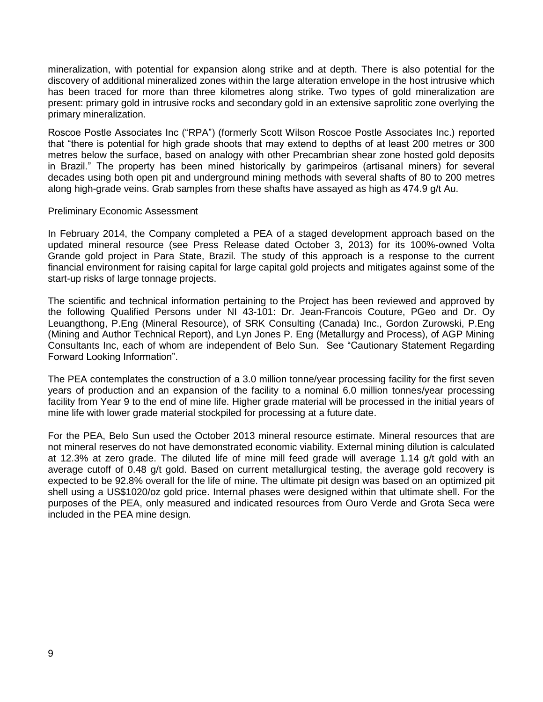mineralization, with potential for expansion along strike and at depth. There is also potential for the discovery of additional mineralized zones within the large alteration envelope in the host intrusive which has been traced for more than three kilometres along strike. Two types of gold mineralization are present: primary gold in intrusive rocks and secondary gold in an extensive saprolitic zone overlying the primary mineralization.

Roscoe Postle Associates Inc ("RPA") (formerly Scott Wilson Roscoe Postle Associates Inc.) reported that "there is potential for high grade shoots that may extend to depths of at least 200 metres or 300 metres below the surface, based on analogy with other Precambrian shear zone hosted gold deposits in Brazil." The property has been mined historically by garimpeiros (artisanal miners) for several decades using both open pit and underground mining methods with several shafts of 80 to 200 metres along high-grade veins. Grab samples from these shafts have assayed as high as 474.9 g/t Au.

## Preliminary Economic Assessment

In February 2014, the Company completed a PEA of a staged development approach based on the updated mineral resource (see Press Release dated October 3, 2013) for its 100%-owned Volta Grande gold project in Para State, Brazil. The study of this approach is a response to the current financial environment for raising capital for large capital gold projects and mitigates against some of the start-up risks of large tonnage projects.

The scientific and technical information pertaining to the Project has been reviewed and approved by the following Qualified Persons under NI 43-101: Dr. Jean-Francois Couture, PGeo and Dr. Oy Leuangthong, P.Eng (Mineral Resource), of SRK Consulting (Canada) Inc., Gordon Zurowski, P.Eng (Mining and Author Technical Report), and Lyn Jones P. Eng (Metallurgy and Process), of AGP Mining Consultants Inc, each of whom are independent of Belo Sun. See "Cautionary Statement Regarding Forward Looking Information".

The PEA contemplates the construction of a 3.0 million tonne/year processing facility for the first seven years of production and an expansion of the facility to a nominal 6.0 million tonnes/year processing facility from Year 9 to the end of mine life. Higher grade material will be processed in the initial years of mine life with lower grade material stockpiled for processing at a future date.

For the PEA, Belo Sun used the October 2013 mineral resource estimate. Mineral resources that are not mineral reserves do not have demonstrated economic viability. External mining dilution is calculated at 12.3% at zero grade. The diluted life of mine mill feed grade will average 1.14 g/t gold with an average cutoff of 0.48 g/t gold. Based on current metallurgical testing, the average gold recovery is expected to be 92.8% overall for the life of mine. The ultimate pit design was based on an optimized pit shell using a US\$1020/oz gold price. Internal phases were designed within that ultimate shell. For the purposes of the PEA, only measured and indicated resources from Ouro Verde and Grota Seca were included in the PEA mine design.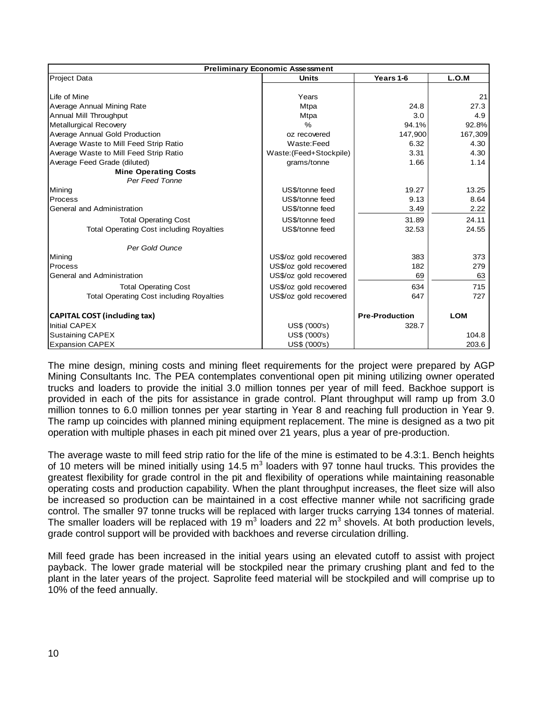| <b>Preliminary Economic Assessment</b>          |                         |                       |            |  |  |  |  |  |
|-------------------------------------------------|-------------------------|-----------------------|------------|--|--|--|--|--|
| Project Data                                    | <b>Units</b>            | Years 1-6             | L.O.M      |  |  |  |  |  |
|                                                 |                         |                       |            |  |  |  |  |  |
| Life of Mine                                    | Years                   |                       | 21         |  |  |  |  |  |
| Average Annual Mining Rate                      | <b>Mtpa</b>             | 24.8                  | 27.3       |  |  |  |  |  |
| Annual Mill Throughput                          | <b>Mtpa</b>             | 3.0                   | 4.9        |  |  |  |  |  |
| Metallurgical Recovery                          | $\frac{6}{6}$           | 94.1%                 | 92.8%      |  |  |  |  |  |
| Average Annual Gold Production                  | oz recovered            | 147,900               | 167,309    |  |  |  |  |  |
| Average Waste to Mill Feed Strip Ratio          | Waste:Feed              | 6.32                  | 4.30       |  |  |  |  |  |
| Average Waste to Mill Feed Strip Ratio          | Waste: (Feed+Stockpile) | 3.31                  | 4.30       |  |  |  |  |  |
| Average Feed Grade (diluted)                    | grams/tonne             | 1.66                  | 1.14       |  |  |  |  |  |
| <b>Mine Operating Costs</b>                     |                         |                       |            |  |  |  |  |  |
| Per Feed Tonne                                  |                         |                       |            |  |  |  |  |  |
| Mining                                          | US\$/tonne feed         | 19.27                 | 13.25      |  |  |  |  |  |
| Process                                         | US\$/tonne feed         | 9.13                  | 8.64       |  |  |  |  |  |
| General and Administration                      | US\$/tonne feed         | 3.49                  | 2.22       |  |  |  |  |  |
| <b>Total Operating Cost</b>                     | US\$/tonne feed         | 31.89                 | 24.11      |  |  |  |  |  |
| <b>Total Operating Cost including Royalties</b> | US\$/tonne feed         | 32.53                 | 24.55      |  |  |  |  |  |
| Per Gold Ounce                                  |                         |                       |            |  |  |  |  |  |
| Mining                                          | US\$/oz gold recovered  | 383                   | 373        |  |  |  |  |  |
| Process                                         | US\$/oz gold recovered  | 182                   | 279        |  |  |  |  |  |
| General and Administration                      | US\$/oz gold recovered  | 69                    | 63         |  |  |  |  |  |
| <b>Total Operating Cost</b>                     | US\$/oz gold recovered  | 634                   | 715        |  |  |  |  |  |
| <b>Total Operating Cost including Royalties</b> | US\$/oz gold recovered  | 647                   | 727        |  |  |  |  |  |
| <b>CAPITAL COST (including tax)</b>             |                         | <b>Pre-Production</b> | <b>LOM</b> |  |  |  |  |  |
| <b>Initial CAPEX</b>                            | US\$ ('000's)<br>328.7  |                       |            |  |  |  |  |  |
| <b>Sustaining CAPEX</b>                         | US\$ ('000's)           |                       | 104.8      |  |  |  |  |  |
| <b>Expansion CAPEX</b>                          | US\$ ('000's)           |                       | 203.6      |  |  |  |  |  |

The mine design, mining costs and mining fleet requirements for the project were prepared by AGP Mining Consultants Inc. The PEA contemplates conventional open pit mining utilizing owner operated trucks and loaders to provide the initial 3.0 million tonnes per year of mill feed. Backhoe support is provided in each of the pits for assistance in grade control. Plant throughput will ramp up from 3.0 million tonnes to 6.0 million tonnes per year starting in Year 8 and reaching full production in Year 9. The ramp up coincides with planned mining equipment replacement. The mine is designed as a two pit operation with multiple phases in each pit mined over 21 years, plus a year of pre-production.

The average waste to mill feed strip ratio for the life of the mine is estimated to be 4.3:1. Bench heights of 10 meters will be mined initially using 14.5  $m^3$  loaders with 97 tonne haul trucks. This provides the greatest flexibility for grade control in the pit and flexibility of operations while maintaining reasonable operating costs and production capability. When the plant throughput increases, the fleet size will also be increased so production can be maintained in a cost effective manner while not sacrificing grade control. The smaller 97 tonne trucks will be replaced with larger trucks carrying 134 tonnes of material. The smaller loaders will be replaced with 19 m<sup>3</sup> loaders and 22 m<sup>3</sup> shovels. At both production levels, grade control support will be provided with backhoes and reverse circulation drilling.

Mill feed grade has been increased in the initial years using an elevated cutoff to assist with project payback. The lower grade material will be stockpiled near the primary crushing plant and fed to the plant in the later years of the project. Saprolite feed material will be stockpiled and will comprise up to 10% of the feed annually.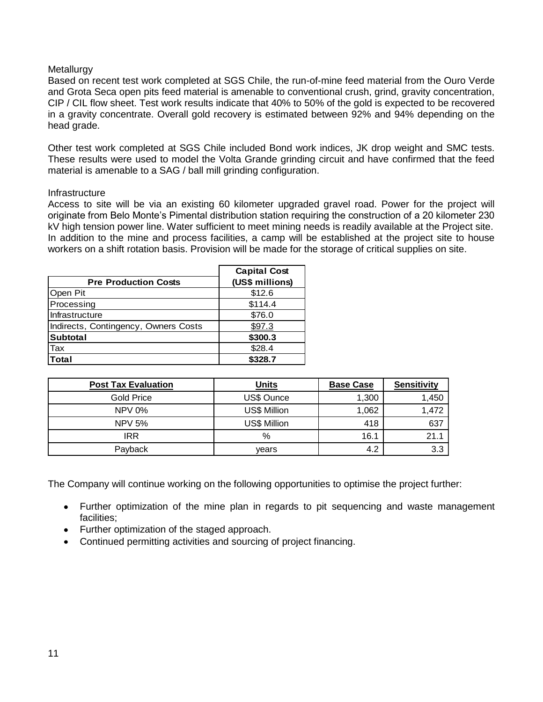## **Metallurgy**

Based on recent test work completed at SGS Chile, the run-of-mine feed material from the Ouro Verde and Grota Seca open pits feed material is amenable to conventional crush, grind, gravity concentration, CIP / CIL flow sheet. Test work results indicate that 40% to 50% of the gold is expected to be recovered in a gravity concentrate. Overall gold recovery is estimated between 92% and 94% depending on the head grade.

Other test work completed at SGS Chile included Bond work indices, JK drop weight and SMC tests. These results were used to model the Volta Grande grinding circuit and have confirmed that the feed material is amenable to a SAG / ball mill grinding configuration.

## Infrastructure

Access to site will be via an existing 60 kilometer upgraded gravel road. Power for the project will originate from Belo Monte"s Pimental distribution station requiring the construction of a 20 kilometer 230 kV high tension power line. Water sufficient to meet mining needs is readily available at the Project site. In addition to the mine and process facilities, a camp will be established at the project site to house workers on a shift rotation basis. Provision will be made for the storage of critical supplies on site.

| <b>Pre Production Costs</b>          | <b>Capital Cost</b><br>(US\$ millions) |
|--------------------------------------|----------------------------------------|
| Open Pit                             | \$12.6                                 |
| Processing                           | \$114.4                                |
| Infrastructure                       | \$76.0                                 |
| Indirects, Contingency, Owners Costs | \$97.3                                 |
| <b>Subtotal</b>                      | \$300.3                                |
| <b>Tax</b>                           | \$28.4                                 |
| <b>Total</b>                         | \$328.7                                |

| <b>Post Tax Evaluation</b> | <b>Units</b>        | <b>Base Case</b> | <b>Sensitivity</b> |
|----------------------------|---------------------|------------------|--------------------|
| Gold Price                 | US\$ Ounce          | 1,300            | 1,450              |
| <b>NPV 0%</b>              | <b>US\$ Million</b> | 1,062            | 1,472              |
| <b>NPV 5%</b>              | US\$ Million        | 418              | 637                |
| IRR                        | %                   | 16.1             | 21.1               |
| Payback                    | vears               | 4.2              | 3.3                |

The Company will continue working on the following opportunities to optimise the project further:

- Further optimization of the mine plan in regards to pit sequencing and waste management facilities;
- Further optimization of the staged approach.
- Continued permitting activities and sourcing of project financing.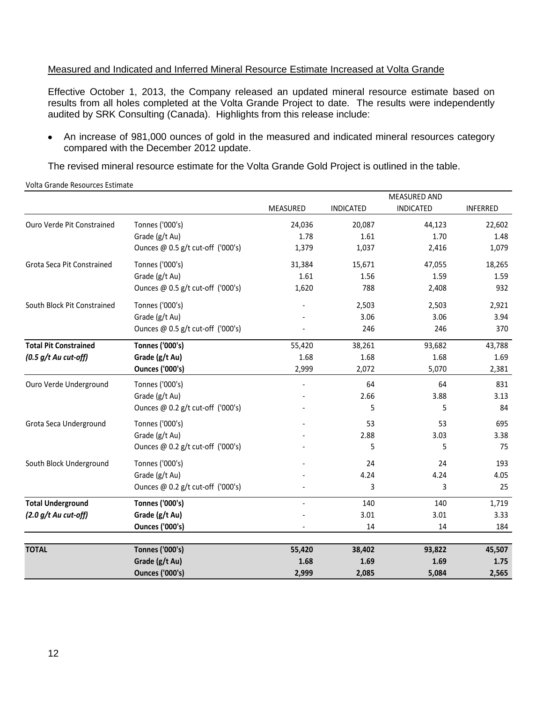## Measured and Indicated and Inferred Mineral Resource Estimate Increased at Volta Grande

Effective October 1, 2013, the Company released an updated mineral resource estimate based on results from all holes completed at the Volta Grande Project to date. The results were independently audited by SRK Consulting (Canada). Highlights from this release include:

An increase of 981,000 ounces of gold in the measured and indicated mineral resources category compared with the December 2012 update.

The revised mineral resource estimate for the Volta Grande Gold Project is outlined in the table.

 MEASURED INDICATED MEASURED AND INDICATED INFERRED Ouro Verde Pit Constrained Tonnes ('000's) 24,036 20,087 44,123 22,602 Grade (g/t Au) 1.78 1.61 1.70 1.48 Ounces @ 0.5 g/t cut-off ('000's)  $1,379$  1,037 2,416 1,079 Grota Seca Pit Constrained Tonnes ('000's) 31,384 15,671 47,055 18,265 Grade (g/t Au) 1.61 1.56 1.59 1.59 1.59 Ounces @ 0.5 g/t cut-off ('000's)  $1,620$  788 2,408 932 South Block Pit Constrained Tonnes ('000's) - 2,503 2,503 2,921 Grade (g/t Au) 3.06 3.94 Ounces @ 0.5 g/t cut-off ('000's) - 246 246 370 **Total Pit Constrained Tonnes ('000's)** 55,420 38,261 93,682 43,788 *(0.5 g/t Au cut-off)* **Grade (g/t Au)** 1.68 1.68 1.68 1.69 **Ounces ('000's)** 2,999 2,072 5,070 2,381 Ouro Verde Underground Tonnes ('000's) - 64 64 831 Grade (g/t Au)  $-$  2.66 3.88 3.13 Ounces @ 0.2 g/t cut-off ('000's)  $\qquad \qquad$  - 5 5 5 84 Grota Seca Underground Tonnes ('000's) 695 (1998) Grade  $(g/t \text{ Au})$  3.38 3.38 Ounces @ 0.2 g/t cut-off ('000's)  $\overline{\phantom{0}}$  5 5 75 75 South Block Underground Tonnes ('000's) and the control of the control of the control of the control of the control of the control of the control of the control of the control of the control of the control of the control o Grade (g/t Au) 4.24 4.05 Ounces @ 0.2 g/t cut-off ('000's)  $\qquad \qquad$  - 3 3 3 3 25 **Total Underground Tonnes ('000's)** - 140 140 1,719 *(2.0 g/t Au cut-off)* **Grade (g/t Au)** - 3.01 3.01 3.33 **Ounces ('000's)**  $14$  14 184

**TOTAL Tonnes ('000's) 55,420 38,402 93,822 45,507**

**Grade (g/t Au)** 1.68 1.69 1.69 1.69 1.75 **Ounces ('000's) 2,999 2,085 5,084 2,565**

Volta Grande Resources Estimate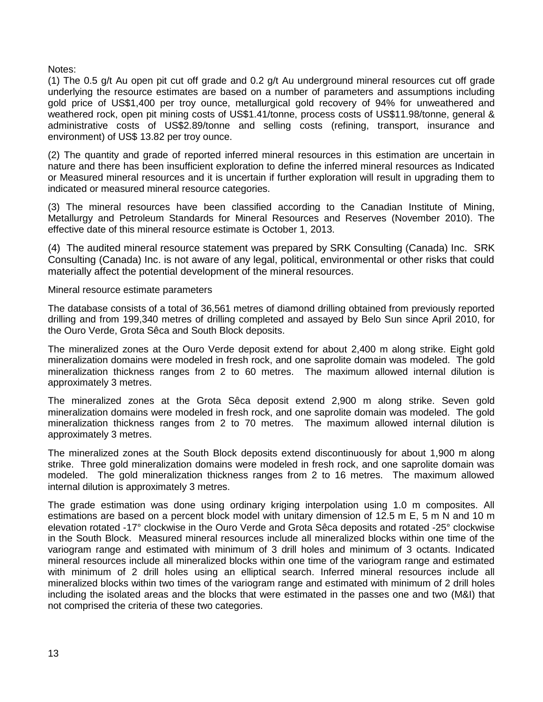Notes:

(1) The 0.5 g/t Au open pit cut off grade and 0.2 g/t Au underground mineral resources cut off grade underlying the resource estimates are based on a number of parameters and assumptions including gold price of US\$1,400 per troy ounce, metallurgical gold recovery of 94% for unweathered and weathered rock, open pit mining costs of US\$1.41/tonne, process costs of US\$11.98/tonne, general & administrative costs of US\$2.89/tonne and selling costs (refining, transport, insurance and environment) of US\$ 13.82 per troy ounce.

(2) The quantity and grade of reported inferred mineral resources in this estimation are uncertain in nature and there has been insufficient exploration to define the inferred mineral resources as Indicated or Measured mineral resources and it is uncertain if further exploration will result in upgrading them to indicated or measured mineral resource categories.

(3) The mineral resources have been classified according to the Canadian Institute of Mining, Metallurgy and Petroleum Standards for Mineral Resources and Reserves (November 2010). The effective date of this mineral resource estimate is October 1, 2013.

(4) The audited mineral resource statement was prepared by SRK Consulting (Canada) Inc. SRK Consulting (Canada) Inc. is not aware of any legal, political, environmental or other risks that could materially affect the potential development of the mineral resources.

Mineral resource estimate parameters

The database consists of a total of 36,561 metres of diamond drilling obtained from previously reported drilling and from 199,340 metres of drilling completed and assayed by Belo Sun since April 2010, for the Ouro Verde, Grota Sêca and South Block deposits.

The mineralized zones at the Ouro Verde deposit extend for about 2,400 m along strike. Eight gold mineralization domains were modeled in fresh rock, and one saprolite domain was modeled. The gold mineralization thickness ranges from 2 to 60 metres. The maximum allowed internal dilution is approximately 3 metres.

The mineralized zones at the Grota Sêca deposit extend 2,900 m along strike. Seven gold mineralization domains were modeled in fresh rock, and one saprolite domain was modeled. The gold mineralization thickness ranges from 2 to 70 metres. The maximum allowed internal dilution is approximately 3 metres.

The mineralized zones at the South Block deposits extend discontinuously for about 1,900 m along strike. Three gold mineralization domains were modeled in fresh rock, and one saprolite domain was modeled. The gold mineralization thickness ranges from 2 to 16 metres. The maximum allowed internal dilution is approximately 3 metres.

The grade estimation was done using ordinary kriging interpolation using 1.0 m composites. All estimations are based on a percent block model with unitary dimension of 12.5 m E, 5 m N and 10 m elevation rotated -17° clockwise in the Ouro Verde and Grota Sêca deposits and rotated -25° clockwise in the South Block. Measured mineral resources include all mineralized blocks within one time of the variogram range and estimated with minimum of 3 drill holes and minimum of 3 octants. Indicated mineral resources include all mineralized blocks within one time of the variogram range and estimated with minimum of 2 drill holes using an elliptical search. Inferred mineral resources include all mineralized blocks within two times of the variogram range and estimated with minimum of 2 drill holes including the isolated areas and the blocks that were estimated in the passes one and two (M&I) that not comprised the criteria of these two categories.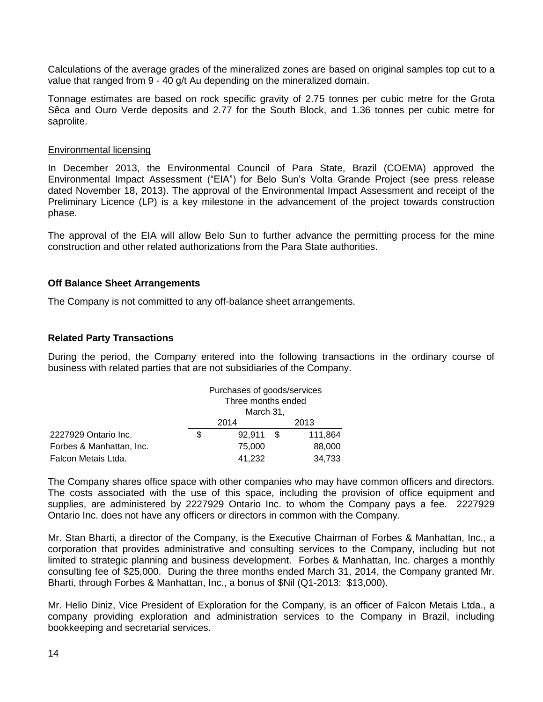Calculations of the average grades of the mineralized zones are based on original samples top cut to a value that ranged from 9 - 40 g/t Au depending on the mineralized domain.

Tonnage estimates are based on rock specific gravity of 2.75 tonnes per cubic metre for the Grota Sêca and Ouro Verde deposits and 2.77 for the South Block, and 1.36 tonnes per cubic metre for saprolite.

#### Environmental licensing

In December 2013, the Environmental Council of Para State, Brazil (COEMA) approved the Environmental Impact Assessment ("EIA") for Belo Sun"s Volta Grande Project (see press release dated November 18, 2013). The approval of the Environmental Impact Assessment and receipt of the Preliminary Licence (LP) is a key milestone in the advancement of the project towards construction phase.

The approval of the EIA will allow Belo Sun to further advance the permitting process for the mine construction and other related authorizations from the Para State authorities.

## **Off Balance Sheet Arrangements**

The Company is not committed to any off-balance sheet arrangements.

## **Related Party Transactions**

During the period, the Company entered into the following transactions in the ordinary course of business with related parties that are not subsidiaries of the Company.

|                          | Purchases of goods/services<br>Three months ended<br>March 31, |  |         |  |  |
|--------------------------|----------------------------------------------------------------|--|---------|--|--|
|                          | 2014                                                           |  | 2013    |  |  |
| 2227929 Ontario Inc.     | \$<br>92.911 \$                                                |  | 111,864 |  |  |
| Forbes & Manhattan, Inc. | 75,000                                                         |  | 88,000  |  |  |
| Falcon Metais Ltda.      | 41,232                                                         |  | 34,733  |  |  |

The Company shares office space with other companies who may have common officers and directors. The costs associated with the use of this space, including the provision of office equipment and supplies, are administered by 2227929 Ontario Inc. to whom the Company pays a fee. 2227929 Ontario Inc. does not have any officers or directors in common with the Company.

Mr. Stan Bharti, a director of the Company, is the Executive Chairman of Forbes & Manhattan, Inc., a corporation that provides administrative and consulting services to the Company, including but not limited to strategic planning and business development. Forbes & Manhattan, Inc. charges a monthly consulting fee of \$25,000. During the three months ended March 31, 2014, the Company granted Mr. Bharti, through Forbes & Manhattan, Inc., a bonus of \$Nil (Q1-2013: \$13,000).

Mr. Helio Diniz, Vice President of Exploration for the Company, is an officer of Falcon Metais Ltda., a company providing exploration and administration services to the Company in Brazil, including bookkeeping and secretarial services.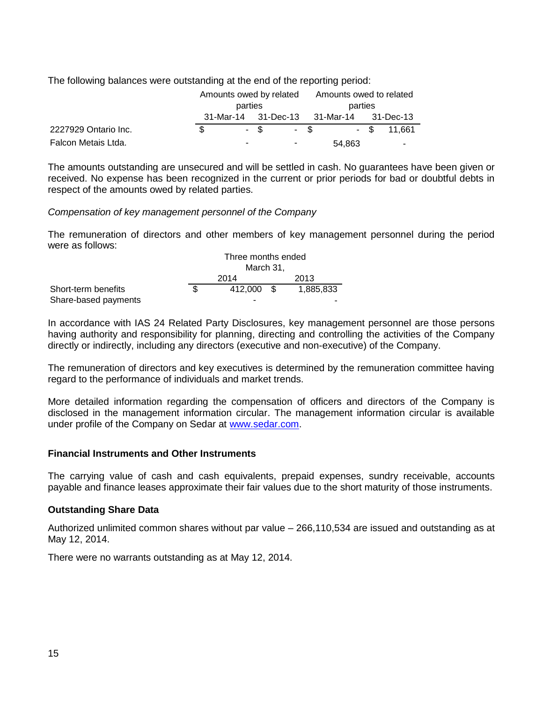The following balances were outstanding at the end of the reporting period:

|                      | Amounts owed by related |      |         | Amounts owed to related |                                         |  |               |
|----------------------|-------------------------|------|---------|-------------------------|-----------------------------------------|--|---------------|
|                      | parties                 |      | parties |                         |                                         |  |               |
|                      |                         |      |         |                         | 31-Mar-14 31-Dec-13 31-Mar-14 31-Dec-13 |  |               |
| 2227929 Ontario Inc. |                         | - \$ |         | $-$ \$                  |                                         |  | $-$ \$ 11.661 |
| Falcon Metais Ltda.  |                         |      | ۰       |                         | 54,863                                  |  | ۰             |

The amounts outstanding are unsecured and will be settled in cash. No guarantees have been given or received. No expense has been recognized in the current or prior periods for bad or doubtful debts in respect of the amounts owed by related parties.

# *Compensation of key management personnel of the Company*

The remuneration of directors and other members of key management personnel during the period were as follows:

|                      | Three months ended |            |      |           |  |  |
|----------------------|--------------------|------------|------|-----------|--|--|
|                      | March 31.          |            |      |           |  |  |
|                      |                    | 2014       | 2013 |           |  |  |
| Short-term benefits  |                    | 412,000 \$ |      | 1,885,833 |  |  |
| Share-based payments |                    | -          |      |           |  |  |

In accordance with IAS 24 Related Party Disclosures, key management personnel are those persons having authority and responsibility for planning, directing and controlling the activities of the Company directly or indirectly, including any directors (executive and non-executive) of the Company.

The remuneration of directors and key executives is determined by the remuneration committee having regard to the performance of individuals and market trends.

More detailed information regarding the compensation of officers and directors of the Company is disclosed in the management information circular. The management information circular is available under profile of the Company on Sedar at [www.sedar.com.](http://www.sedar.com/)

# **Financial Instruments and Other Instruments**

The carrying value of cash and cash equivalents, prepaid expenses, sundry receivable, accounts payable and finance leases approximate their fair values due to the short maturity of those instruments.

# **Outstanding Share Data**

Authorized unlimited common shares without par value – 266,110,534 are issued and outstanding as at May 12, 2014.

There were no warrants outstanding as at May 12, 2014.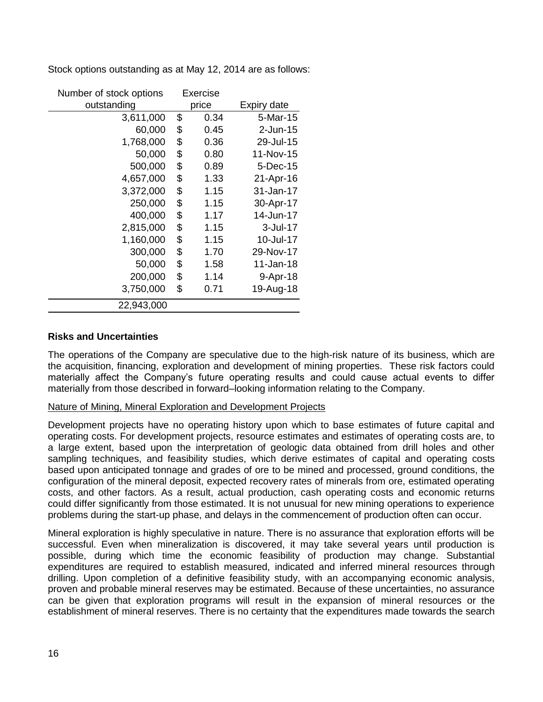| Number of stock options | Exercise   |             |
|-------------------------|------------|-------------|
| outstanding             | price      | Expiry date |
| 3,611,000               | \$<br>0.34 | 5-Mar-15    |
| 60,000                  | \$<br>0.45 | $2$ -Jun-15 |
| 1,768,000               | \$<br>0.36 | 29-Jul-15   |
| 50,000                  | \$<br>0.80 | 11-Nov-15   |
| 500,000                 | \$<br>0.89 | 5-Dec-15    |
| 4,657,000               | \$<br>1.33 | 21-Apr-16   |
| 3,372,000               | \$<br>1.15 | 31-Jan-17   |
| 250,000                 | \$<br>1.15 | 30-Apr-17   |
| 400,000                 | \$<br>1.17 | 14-Jun-17   |
| 2,815,000               | \$<br>1.15 | 3-Jul-17    |
| 1,160,000               | \$<br>1.15 | 10-Jul-17   |
| 300,000                 | \$<br>1.70 | 29-Nov-17   |
| 50,000                  | \$<br>1.58 | 11-Jan-18   |
| 200,000                 | \$<br>1.14 | 9-Apr-18    |
| 3,750,000               | \$<br>0.71 | 19-Aug-18   |
| 22,943,000              |            |             |

Stock options outstanding as at May 12, 2014 are as follows:

# **Risks and Uncertainties**

The operations of the Company are speculative due to the high-risk nature of its business, which are the acquisition, financing, exploration and development of mining properties. These risk factors could materially affect the Company"s future operating results and could cause actual events to differ materially from those described in forward–looking information relating to the Company.

# Nature of Mining, Mineral Exploration and Development Projects

Development projects have no operating history upon which to base estimates of future capital and operating costs. For development projects, resource estimates and estimates of operating costs are, to a large extent, based upon the interpretation of geologic data obtained from drill holes and other sampling techniques, and feasibility studies, which derive estimates of capital and operating costs based upon anticipated tonnage and grades of ore to be mined and processed, ground conditions, the configuration of the mineral deposit, expected recovery rates of minerals from ore, estimated operating costs, and other factors. As a result, actual production, cash operating costs and economic returns could differ significantly from those estimated. It is not unusual for new mining operations to experience problems during the start-up phase, and delays in the commencement of production often can occur.

Mineral exploration is highly speculative in nature. There is no assurance that exploration efforts will be successful. Even when mineralization is discovered, it may take several years until production is possible, during which time the economic feasibility of production may change. Substantial expenditures are required to establish measured, indicated and inferred mineral resources through drilling. Upon completion of a definitive feasibility study, with an accompanying economic analysis, proven and probable mineral reserves may be estimated. Because of these uncertainties, no assurance can be given that exploration programs will result in the expansion of mineral resources or the establishment of mineral reserves. There is no certainty that the expenditures made towards the search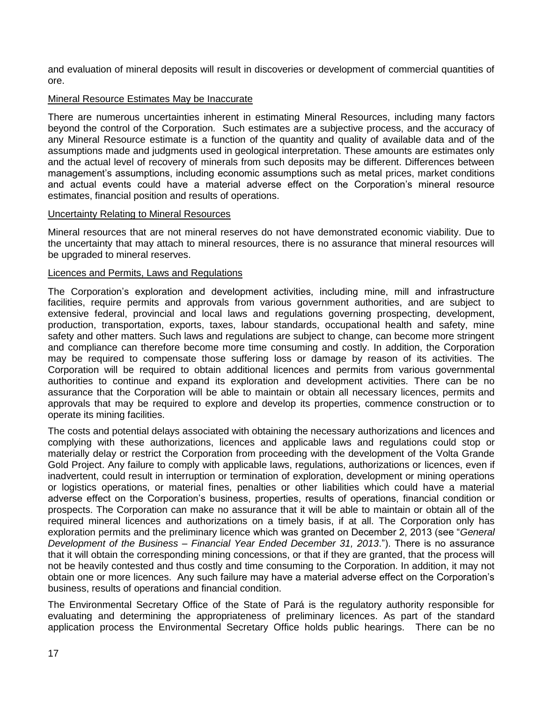and evaluation of mineral deposits will result in discoveries or development of commercial quantities of ore.

# Mineral Resource Estimates May be Inaccurate

There are numerous uncertainties inherent in estimating Mineral Resources, including many factors beyond the control of the Corporation. Such estimates are a subjective process, and the accuracy of any Mineral Resource estimate is a function of the quantity and quality of available data and of the assumptions made and judgments used in geological interpretation. These amounts are estimates only and the actual level of recovery of minerals from such deposits may be different. Differences between management's assumptions, including economic assumptions such as metal prices, market conditions and actual events could have a material adverse effect on the Corporation"s mineral resource estimates, financial position and results of operations.

## Uncertainty Relating to Mineral Resources

Mineral resources that are not mineral reserves do not have demonstrated economic viability. Due to the uncertainty that may attach to mineral resources, there is no assurance that mineral resources will be upgraded to mineral reserves.

## Licences and Permits, Laws and Regulations

The Corporation"s exploration and development activities, including mine, mill and infrastructure facilities, require permits and approvals from various government authorities, and are subject to extensive federal, provincial and local laws and regulations governing prospecting, development, production, transportation, exports, taxes, labour standards, occupational health and safety, mine safety and other matters. Such laws and regulations are subject to change, can become more stringent and compliance can therefore become more time consuming and costly. In addition, the Corporation may be required to compensate those suffering loss or damage by reason of its activities. The Corporation will be required to obtain additional licences and permits from various governmental authorities to continue and expand its exploration and development activities. There can be no assurance that the Corporation will be able to maintain or obtain all necessary licences, permits and approvals that may be required to explore and develop its properties, commence construction or to operate its mining facilities.

The costs and potential delays associated with obtaining the necessary authorizations and licences and complying with these authorizations, licences and applicable laws and regulations could stop or materially delay or restrict the Corporation from proceeding with the development of the Volta Grande Gold Project. Any failure to comply with applicable laws, regulations, authorizations or licences, even if inadvertent, could result in interruption or termination of exploration, development or mining operations or logistics operations, or material fines, penalties or other liabilities which could have a material adverse effect on the Corporation"s business, properties, results of operations, financial condition or prospects. The Corporation can make no assurance that it will be able to maintain or obtain all of the required mineral licences and authorizations on a timely basis, if at all. The Corporation only has exploration permits and the preliminary licence which was granted on December 2, 2013 (see "*General Development of the Business – Financial Year Ended December 31, 2013*."). There is no assurance that it will obtain the corresponding mining concessions, or that if they are granted, that the process will not be heavily contested and thus costly and time consuming to the Corporation. In addition, it may not obtain one or more licences. Any such failure may have a material adverse effect on the Corporation"s business, results of operations and financial condition.

The Environmental Secretary Office of the State of Pará is the regulatory authority responsible for evaluating and determining the appropriateness of preliminary licences. As part of the standard application process the Environmental Secretary Office holds public hearings. There can be no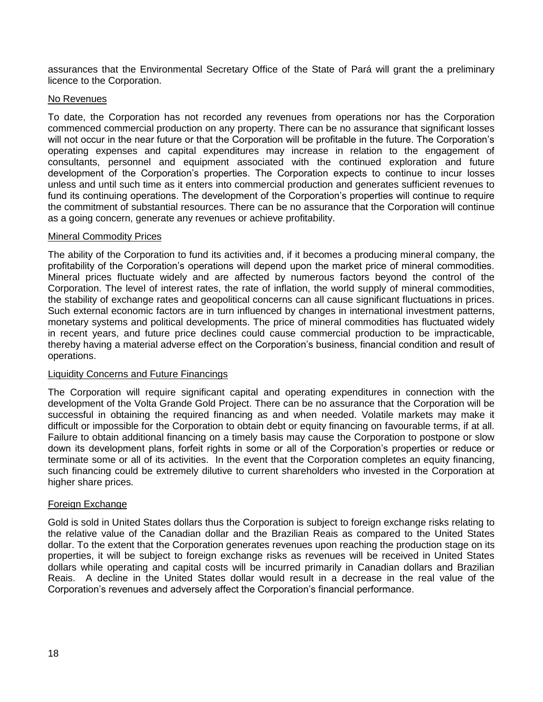assurances that the Environmental Secretary Office of the State of Pará will grant the a preliminary licence to the Corporation.

# No Revenues

To date, the Corporation has not recorded any revenues from operations nor has the Corporation commenced commercial production on any property. There can be no assurance that significant losses will not occur in the near future or that the Corporation will be profitable in the future. The Corporation"s operating expenses and capital expenditures may increase in relation to the engagement of consultants, personnel and equipment associated with the continued exploration and future development of the Corporation"s properties. The Corporation expects to continue to incur losses unless and until such time as it enters into commercial production and generates sufficient revenues to fund its continuing operations. The development of the Corporation"s properties will continue to require the commitment of substantial resources. There can be no assurance that the Corporation will continue as a going concern, generate any revenues or achieve profitability.

## Mineral Commodity Prices

The ability of the Corporation to fund its activities and, if it becomes a producing mineral company, the profitability of the Corporation"s operations will depend upon the market price of mineral commodities. Mineral prices fluctuate widely and are affected by numerous factors beyond the control of the Corporation. The level of interest rates, the rate of inflation, the world supply of mineral commodities, the stability of exchange rates and geopolitical concerns can all cause significant fluctuations in prices. Such external economic factors are in turn influenced by changes in international investment patterns, monetary systems and political developments. The price of mineral commodities has fluctuated widely in recent years, and future price declines could cause commercial production to be impracticable, thereby having a material adverse effect on the Corporation"s business, financial condition and result of operations.

## Liquidity Concerns and Future Financings

The Corporation will require significant capital and operating expenditures in connection with the development of the Volta Grande Gold Project. There can be no assurance that the Corporation will be successful in obtaining the required financing as and when needed. Volatile markets may make it difficult or impossible for the Corporation to obtain debt or equity financing on favourable terms, if at all. Failure to obtain additional financing on a timely basis may cause the Corporation to postpone or slow down its development plans, forfeit rights in some or all of the Corporation"s properties or reduce or terminate some or all of its activities. In the event that the Corporation completes an equity financing, such financing could be extremely dilutive to current shareholders who invested in the Corporation at higher share prices.

## Foreign Exchange

Gold is sold in United States dollars thus the Corporation is subject to foreign exchange risks relating to the relative value of the Canadian dollar and the Brazilian Reais as compared to the United States dollar. To the extent that the Corporation generates revenues upon reaching the production stage on its properties, it will be subject to foreign exchange risks as revenues will be received in United States dollars while operating and capital costs will be incurred primarily in Canadian dollars and Brazilian Reais. A decline in the United States dollar would result in a decrease in the real value of the Corporation"s revenues and adversely affect the Corporation"s financial performance.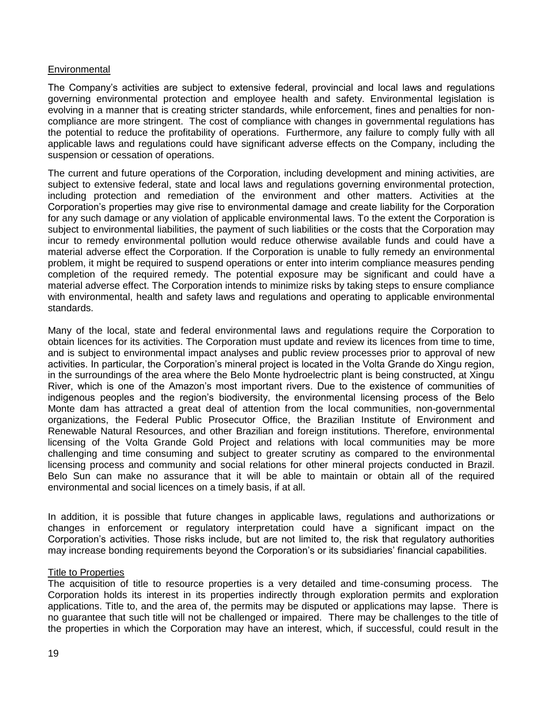## **Environmental**

The Company"s activities are subject to extensive federal, provincial and local laws and regulations governing environmental protection and employee health and safety. Environmental legislation is evolving in a manner that is creating stricter standards, while enforcement, fines and penalties for noncompliance are more stringent. The cost of compliance with changes in governmental regulations has the potential to reduce the profitability of operations. Furthermore, any failure to comply fully with all applicable laws and regulations could have significant adverse effects on the Company, including the suspension or cessation of operations.

The current and future operations of the Corporation, including development and mining activities, are subject to extensive federal, state and local laws and regulations governing environmental protection, including protection and remediation of the environment and other matters. Activities at the Corporation"s properties may give rise to environmental damage and create liability for the Corporation for any such damage or any violation of applicable environmental laws. To the extent the Corporation is subject to environmental liabilities, the payment of such liabilities or the costs that the Corporation may incur to remedy environmental pollution would reduce otherwise available funds and could have a material adverse effect the Corporation. If the Corporation is unable to fully remedy an environmental problem, it might be required to suspend operations or enter into interim compliance measures pending completion of the required remedy. The potential exposure may be significant and could have a material adverse effect. The Corporation intends to minimize risks by taking steps to ensure compliance with environmental, health and safety laws and regulations and operating to applicable environmental standards.

Many of the local, state and federal environmental laws and regulations require the Corporation to obtain licences for its activities. The Corporation must update and review its licences from time to time, and is subject to environmental impact analyses and public review processes prior to approval of new activities. In particular, the Corporation"s mineral project is located in the Volta Grande do Xingu region, in the surroundings of the area where the Belo Monte hydroelectric plant is being constructed, at Xingu River, which is one of the Amazon"s most important rivers. Due to the existence of communities of indigenous peoples and the region"s biodiversity, the environmental licensing process of the Belo Monte dam has attracted a great deal of attention from the local communities, non-governmental organizations, the Federal Public Prosecutor Office, the Brazilian Institute of Environment and Renewable Natural Resources, and other Brazilian and foreign institutions. Therefore, environmental licensing of the Volta Grande Gold Project and relations with local communities may be more challenging and time consuming and subject to greater scrutiny as compared to the environmental licensing process and community and social relations for other mineral projects conducted in Brazil. Belo Sun can make no assurance that it will be able to maintain or obtain all of the required environmental and social licences on a timely basis, if at all.

In addition, it is possible that future changes in applicable laws, regulations and authorizations or changes in enforcement or regulatory interpretation could have a significant impact on the Corporation"s activities. Those risks include, but are not limited to, the risk that regulatory authorities may increase bonding requirements beyond the Corporation"s or its subsidiaries" financial capabilities.

## Title to Properties

The acquisition of title to resource properties is a very detailed and time-consuming process. The Corporation holds its interest in its properties indirectly through exploration permits and exploration applications. Title to, and the area of, the permits may be disputed or applications may lapse. There is no guarantee that such title will not be challenged or impaired. There may be challenges to the title of the properties in which the Corporation may have an interest, which, if successful, could result in the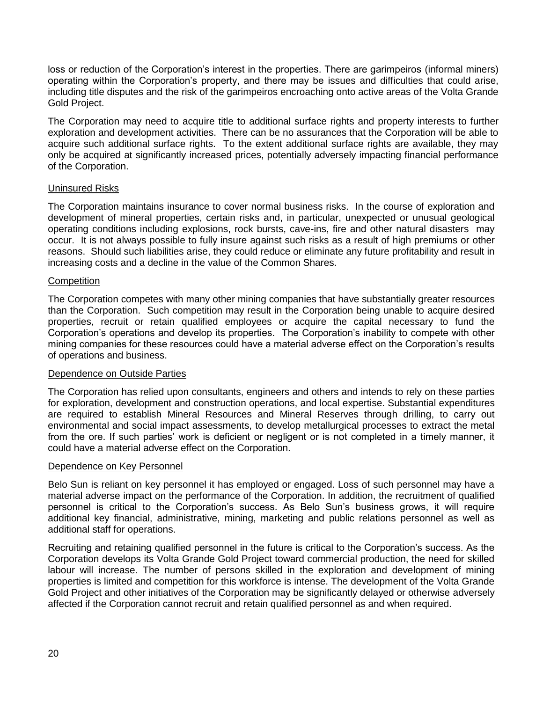loss or reduction of the Corporation"s interest in the properties. There are garimpeiros (informal miners) operating within the Corporation"s property, and there may be issues and difficulties that could arise, including title disputes and the risk of the garimpeiros encroaching onto active areas of the Volta Grande Gold Project.

The Corporation may need to acquire title to additional surface rights and property interests to further exploration and development activities. There can be no assurances that the Corporation will be able to acquire such additional surface rights. To the extent additional surface rights are available, they may only be acquired at significantly increased prices, potentially adversely impacting financial performance of the Corporation.

## Uninsured Risks

The Corporation maintains insurance to cover normal business risks. In the course of exploration and development of mineral properties, certain risks and, in particular, unexpected or unusual geological operating conditions including explosions, rock bursts, cave-ins, fire and other natural disasters may occur. It is not always possible to fully insure against such risks as a result of high premiums or other reasons. Should such liabilities arise, they could reduce or eliminate any future profitability and result in increasing costs and a decline in the value of the Common Shares.

## **Competition**

The Corporation competes with many other mining companies that have substantially greater resources than the Corporation. Such competition may result in the Corporation being unable to acquire desired properties, recruit or retain qualified employees or acquire the capital necessary to fund the Corporation"s operations and develop its properties. The Corporation"s inability to compete with other mining companies for these resources could have a material adverse effect on the Corporation"s results of operations and business.

# Dependence on Outside Parties

The Corporation has relied upon consultants, engineers and others and intends to rely on these parties for exploration, development and construction operations, and local expertise. Substantial expenditures are required to establish Mineral Resources and Mineral Reserves through drilling, to carry out environmental and social impact assessments, to develop metallurgical processes to extract the metal from the ore. If such parties" work is deficient or negligent or is not completed in a timely manner, it could have a material adverse effect on the Corporation.

## Dependence on Key Personnel

Belo Sun is reliant on key personnel it has employed or engaged. Loss of such personnel may have a material adverse impact on the performance of the Corporation. In addition, the recruitment of qualified personnel is critical to the Corporation"s success. As Belo Sun"s business grows, it will require additional key financial, administrative, mining, marketing and public relations personnel as well as additional staff for operations.

Recruiting and retaining qualified personnel in the future is critical to the Corporation"s success. As the Corporation develops its Volta Grande Gold Project toward commercial production, the need for skilled labour will increase. The number of persons skilled in the exploration and development of mining properties is limited and competition for this workforce is intense. The development of the Volta Grande Gold Project and other initiatives of the Corporation may be significantly delayed or otherwise adversely affected if the Corporation cannot recruit and retain qualified personnel as and when required.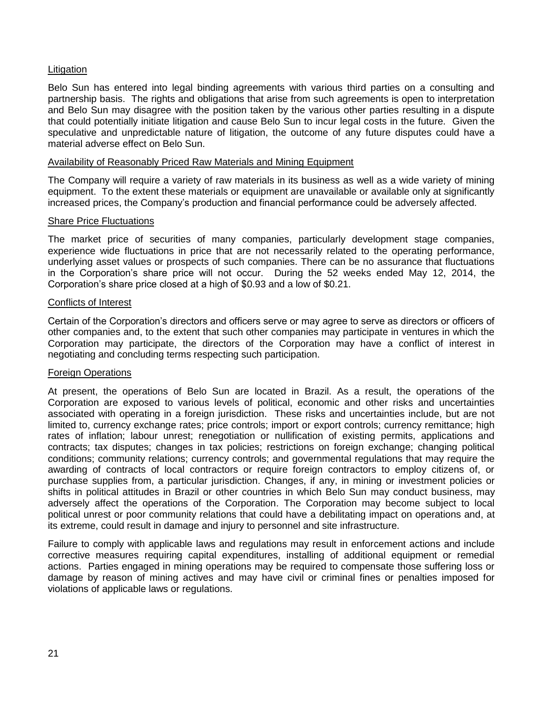## **Litigation**

Belo Sun has entered into legal binding agreements with various third parties on a consulting and partnership basis. The rights and obligations that arise from such agreements is open to interpretation and Belo Sun may disagree with the position taken by the various other parties resulting in a dispute that could potentially initiate litigation and cause Belo Sun to incur legal costs in the future. Given the speculative and unpredictable nature of litigation, the outcome of any future disputes could have a material adverse effect on Belo Sun.

#### Availability of Reasonably Priced Raw Materials and Mining Equipment

The Company will require a variety of raw materials in its business as well as a wide variety of mining equipment. To the extent these materials or equipment are unavailable or available only at significantly increased prices, the Company"s production and financial performance could be adversely affected.

#### Share Price Fluctuations

The market price of securities of many companies, particularly development stage companies, experience wide fluctuations in price that are not necessarily related to the operating performance, underlying asset values or prospects of such companies. There can be no assurance that fluctuations in the Corporation"s share price will not occur. During the 52 weeks ended May 12, 2014, the Corporation"s share price closed at a high of \$0.93 and a low of \$0.21.

## Conflicts of Interest

Certain of the Corporation"s directors and officers serve or may agree to serve as directors or officers of other companies and, to the extent that such other companies may participate in ventures in which the Corporation may participate, the directors of the Corporation may have a conflict of interest in negotiating and concluding terms respecting such participation.

## Foreign Operations

At present, the operations of Belo Sun are located in Brazil. As a result, the operations of the Corporation are exposed to various levels of political, economic and other risks and uncertainties associated with operating in a foreign jurisdiction. These risks and uncertainties include, but are not limited to, currency exchange rates; price controls; import or export controls; currency remittance; high rates of inflation; labour unrest; renegotiation or nullification of existing permits, applications and contracts; tax disputes; changes in tax policies; restrictions on foreign exchange; changing political conditions; community relations; currency controls; and governmental regulations that may require the awarding of contracts of local contractors or require foreign contractors to employ citizens of, or purchase supplies from, a particular jurisdiction. Changes, if any, in mining or investment policies or shifts in political attitudes in Brazil or other countries in which Belo Sun may conduct business, may adversely affect the operations of the Corporation. The Corporation may become subject to local political unrest or poor community relations that could have a debilitating impact on operations and, at its extreme, could result in damage and injury to personnel and site infrastructure.

Failure to comply with applicable laws and regulations may result in enforcement actions and include corrective measures requiring capital expenditures, installing of additional equipment or remedial actions. Parties engaged in mining operations may be required to compensate those suffering loss or damage by reason of mining actives and may have civil or criminal fines or penalties imposed for violations of applicable laws or regulations.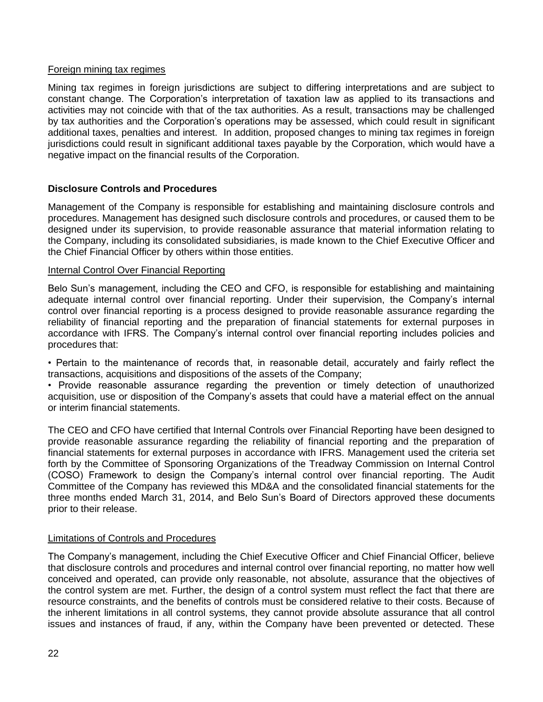## Foreign mining tax regimes

Mining tax regimes in foreign jurisdictions are subject to differing interpretations and are subject to constant change. The Corporation"s interpretation of taxation law as applied to its transactions and activities may not coincide with that of the tax authorities. As a result, transactions may be challenged by tax authorities and the Corporation"s operations may be assessed, which could result in significant additional taxes, penalties and interest. In addition, proposed changes to mining tax regimes in foreign jurisdictions could result in significant additional taxes payable by the Corporation, which would have a negative impact on the financial results of the Corporation.

# **Disclosure Controls and Procedures**

Management of the Company is responsible for establishing and maintaining disclosure controls and procedures. Management has designed such disclosure controls and procedures, or caused them to be designed under its supervision, to provide reasonable assurance that material information relating to the Company, including its consolidated subsidiaries, is made known to the Chief Executive Officer and the Chief Financial Officer by others within those entities.

## Internal Control Over Financial Reporting

Belo Sun"s management, including the CEO and CFO, is responsible for establishing and maintaining adequate internal control over financial reporting. Under their supervision, the Company"s internal control over financial reporting is a process designed to provide reasonable assurance regarding the reliability of financial reporting and the preparation of financial statements for external purposes in accordance with IFRS. The Company's internal control over financial reporting includes policies and procedures that:

• Pertain to the maintenance of records that, in reasonable detail, accurately and fairly reflect the transactions, acquisitions and dispositions of the assets of the Company;

• Provide reasonable assurance regarding the prevention or timely detection of unauthorized acquisition, use or disposition of the Company"s assets that could have a material effect on the annual or interim financial statements.

The CEO and CFO have certified that Internal Controls over Financial Reporting have been designed to provide reasonable assurance regarding the reliability of financial reporting and the preparation of financial statements for external purposes in accordance with IFRS. Management used the criteria set forth by the Committee of Sponsoring Organizations of the Treadway Commission on Internal Control (COSO) Framework to design the Company"s internal control over financial reporting. The Audit Committee of the Company has reviewed this MD&A and the consolidated financial statements for the three months ended March 31, 2014, and Belo Sun"s Board of Directors approved these documents prior to their release.

# Limitations of Controls and Procedures

The Company"s management, including the Chief Executive Officer and Chief Financial Officer, believe that disclosure controls and procedures and internal control over financial reporting, no matter how well conceived and operated, can provide only reasonable, not absolute, assurance that the objectives of the control system are met. Further, the design of a control system must reflect the fact that there are resource constraints, and the benefits of controls must be considered relative to their costs. Because of the inherent limitations in all control systems, they cannot provide absolute assurance that all control issues and instances of fraud, if any, within the Company have been prevented or detected. These